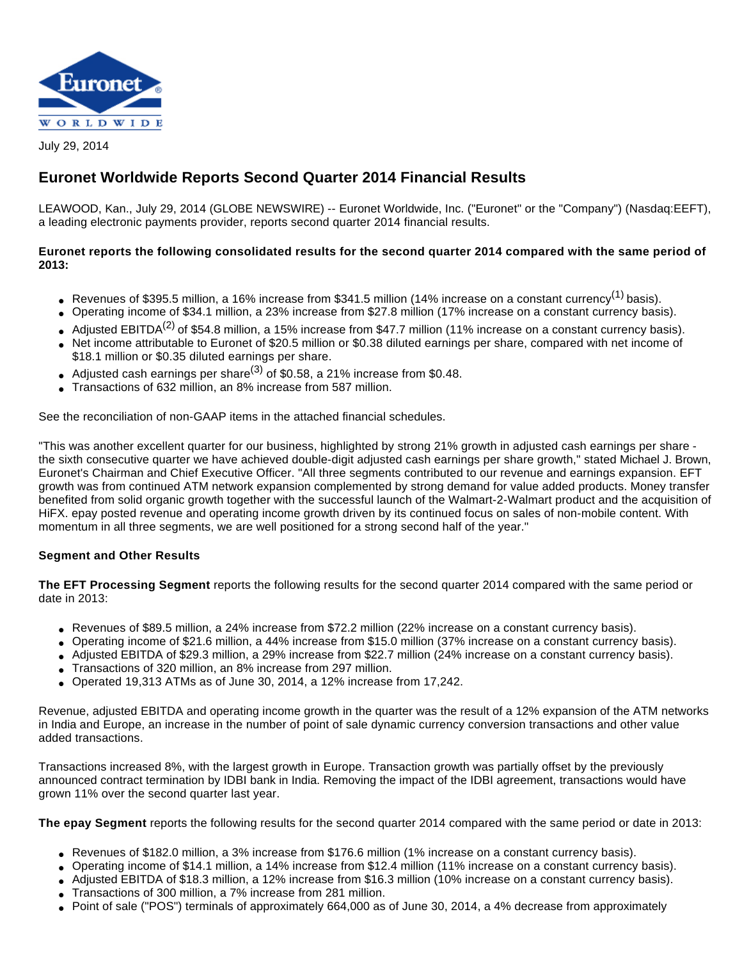

July 29, 2014

# **Euronet Worldwide Reports Second Quarter 2014 Financial Results**

LEAWOOD, Kan., July 29, 2014 (GLOBE NEWSWIRE) -- Euronet Worldwide, Inc. ("Euronet" or the "Company") (Nasdaq:EEFT), a leading electronic payments provider, reports second quarter 2014 financial results.

# **Euronet reports the following consolidated results for the second quarter 2014 compared with the same period of 2013:**

- Revenues of \$395.5 million, a 16% increase from \$341.5 million (14% increase on a constant currency<sup>(1)</sup> basis).
- Operating income of \$34.1 million, a 23% increase from \$27.8 million (17% increase on a constant currency basis).
- Adjusted EBITDA<sup>(2)</sup> of \$54.8 million, a 15% increase from \$47.7 million (11% increase on a constant currency basis).
- Net income attributable to Euronet of \$20.5 million or \$0.38 diluted earnings per share, compared with net income of \$18.1 million or \$0.35 diluted earnings per share.
- Adjusted cash earnings per share<sup>(3)</sup> of \$0.58, a 21% increase from \$0.48.
- Transactions of 632 million, an 8% increase from 587 million.

See the reconciliation of non-GAAP items in the attached financial schedules.

"This was another excellent quarter for our business, highlighted by strong 21% growth in adjusted cash earnings per share the sixth consecutive quarter we have achieved double-digit adjusted cash earnings per share growth," stated Michael J. Brown, Euronet's Chairman and Chief Executive Officer. "All three segments contributed to our revenue and earnings expansion. EFT growth was from continued ATM network expansion complemented by strong demand for value added products. Money transfer benefited from solid organic growth together with the successful launch of the Walmart-2-Walmart product and the acquisition of HiFX. epay posted revenue and operating income growth driven by its continued focus on sales of non-mobile content. With momentum in all three segments, we are well positioned for a strong second half of the year."

# **Segment and Other Results**

**The EFT Processing Segment** reports the following results for the second quarter 2014 compared with the same period or date in 2013:

- Revenues of \$89.5 million, a 24% increase from \$72.2 million (22% increase on a constant currency basis).
- Operating income of \$21.6 million, a 44% increase from \$15.0 million (37% increase on a constant currency basis).
- Adjusted EBITDA of \$29.3 million, a 29% increase from \$22.7 million (24% increase on a constant currency basis).
- Transactions of 320 million, an 8% increase from 297 million.
- Operated 19,313 ATMs as of June 30, 2014, a 12% increase from 17,242.

Revenue, adjusted EBITDA and operating income growth in the quarter was the result of a 12% expansion of the ATM networks in India and Europe, an increase in the number of point of sale dynamic currency conversion transactions and other value added transactions.

Transactions increased 8%, with the largest growth in Europe. Transaction growth was partially offset by the previously announced contract termination by IDBI bank in India. Removing the impact of the IDBI agreement, transactions would have grown 11% over the second quarter last year.

**The epay Segment** reports the following results for the second quarter 2014 compared with the same period or date in 2013:

- Revenues of \$182.0 million, a 3% increase from \$176.6 million (1% increase on a constant currency basis).
- Operating income of \$14.1 million, a 14% increase from \$12.4 million (11% increase on a constant currency basis).
- Adjusted EBITDA of \$18.3 million, a 12% increase from \$16.3 million (10% increase on a constant currency basis).
- Transactions of 300 million, a 7% increase from 281 million.
- Point of sale ("POS") terminals of approximately 664,000 as of June 30, 2014, a 4% decrease from approximately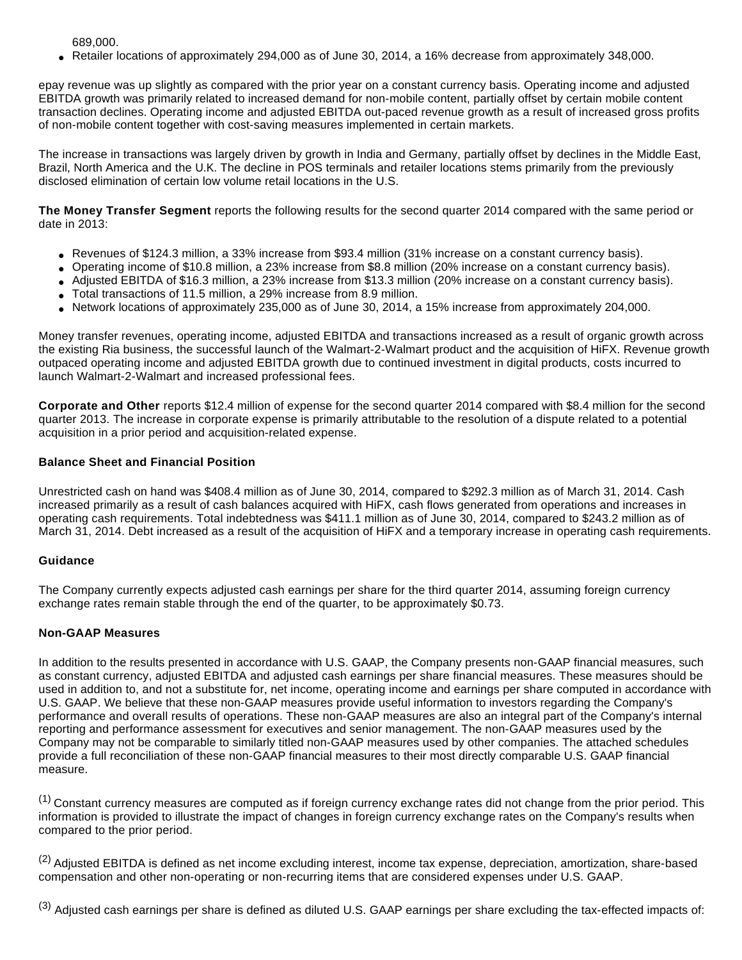689,000.

● Retailer locations of approximately 294,000 as of June 30, 2014, a 16% decrease from approximately 348,000.

epay revenue was up slightly as compared with the prior year on a constant currency basis. Operating income and adjusted EBITDA growth was primarily related to increased demand for non-mobile content, partially offset by certain mobile content transaction declines. Operating income and adjusted EBITDA out-paced revenue growth as a result of increased gross profits of non-mobile content together with cost-saving measures implemented in certain markets.

The increase in transactions was largely driven by growth in India and Germany, partially offset by declines in the Middle East, Brazil, North America and the U.K. The decline in POS terminals and retailer locations stems primarily from the previously disclosed elimination of certain low volume retail locations in the U.S.

**The Money Transfer Segment** reports the following results for the second quarter 2014 compared with the same period or date in 2013:

- Revenues of \$124.3 million, a 33% increase from \$93.4 million (31% increase on a constant currency basis).
- Operating income of \$10.8 million, a 23% increase from \$8.8 million (20% increase on a constant currency basis).
- Adjusted EBITDA of \$16.3 million, a 23% increase from \$13.3 million (20% increase on a constant currency basis).
- Total transactions of 11.5 million, a 29% increase from 8.9 million.
- Network locations of approximately 235,000 as of June 30, 2014, a 15% increase from approximately 204,000.

Money transfer revenues, operating income, adjusted EBITDA and transactions increased as a result of organic growth across the existing Ria business, the successful launch of the Walmart-2-Walmart product and the acquisition of HiFX. Revenue growth outpaced operating income and adjusted EBITDA growth due to continued investment in digital products, costs incurred to launch Walmart-2-Walmart and increased professional fees.

**Corporate and Other** reports \$12.4 million of expense for the second quarter 2014 compared with \$8.4 million for the second quarter 2013. The increase in corporate expense is primarily attributable to the resolution of a dispute related to a potential acquisition in a prior period and acquisition-related expense.

### **Balance Sheet and Financial Position**

Unrestricted cash on hand was \$408.4 million as of June 30, 2014, compared to \$292.3 million as of March 31, 2014. Cash increased primarily as a result of cash balances acquired with HiFX, cash flows generated from operations and increases in operating cash requirements. Total indebtedness was \$411.1 million as of June 30, 2014, compared to \$243.2 million as of March 31, 2014. Debt increased as a result of the acquisition of HiFX and a temporary increase in operating cash requirements.

### **Guidance**

The Company currently expects adjusted cash earnings per share for the third quarter 2014, assuming foreign currency exchange rates remain stable through the end of the quarter, to be approximately \$0.73.

### **Non-GAAP Measures**

In addition to the results presented in accordance with U.S. GAAP, the Company presents non-GAAP financial measures, such as constant currency, adjusted EBITDA and adjusted cash earnings per share financial measures. These measures should be used in addition to, and not a substitute for, net income, operating income and earnings per share computed in accordance with U.S. GAAP. We believe that these non-GAAP measures provide useful information to investors regarding the Company's performance and overall results of operations. These non-GAAP measures are also an integral part of the Company's internal reporting and performance assessment for executives and senior management. The non-GAAP measures used by the Company may not be comparable to similarly titled non-GAAP measures used by other companies. The attached schedules provide a full reconciliation of these non-GAAP financial measures to their most directly comparable U.S. GAAP financial measure.

(1) Constant currency measures are computed as if foreign currency exchange rates did not change from the prior period. This information is provided to illustrate the impact of changes in foreign currency exchange rates on the Company's results when compared to the prior period.

<sup>(2)</sup> Adjusted EBITDA is defined as net income excluding interest, income tax expense, depreciation, amortization, share-based compensation and other non-operating or non-recurring items that are considered expenses under U.S. GAAP.

(3) Adjusted cash earnings per share is defined as diluted U.S. GAAP earnings per share excluding the tax-effected impacts of: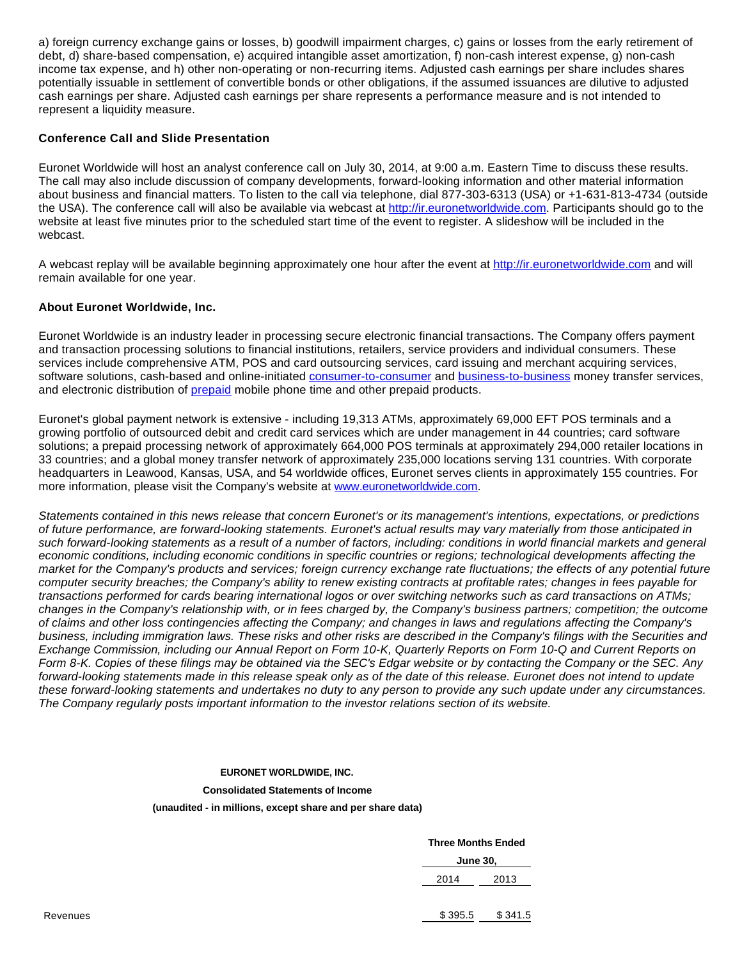a) foreign currency exchange gains or losses, b) goodwill impairment charges, c) gains or losses from the early retirement of debt, d) share-based compensation, e) acquired intangible asset amortization, f) non-cash interest expense, g) non-cash income tax expense, and h) other non-operating or non-recurring items. Adjusted cash earnings per share includes shares potentially issuable in settlement of convertible bonds or other obligations, if the assumed issuances are dilutive to adjusted cash earnings per share. Adjusted cash earnings per share represents a performance measure and is not intended to represent a liquidity measure.

### **Conference Call and Slide Presentation**

Euronet Worldwide will host an analyst conference call on July 30, 2014, at 9:00 a.m. Eastern Time to discuss these results. The call may also include discussion of company developments, forward-looking information and other material information about business and financial matters. To listen to the call via telephone, dial 877-303-6313 (USA) or +1-631-813-4734 (outside the USA). The conference call will also be available via webcast at [http://ir.euronetworldwide.com.](http://www.globenewswire.com/newsroom/ctr?d=10091832&l=25&u=http%3A%2F%2Fir.euronetworldwide.com) Participants should go to the website at least five minutes prior to the scheduled start time of the event to register. A slideshow will be included in the webcast.

A webcast replay will be available beginning approximately one hour after the event at [http://ir.euronetworldwide.com](http://www.globenewswire.com/newsroom/ctr?d=10091832&l=26&u=http%3A%2F%2Fir.euronetworldwide.com) and will remain available for one year.

#### **About Euronet Worldwide, Inc.**

Euronet Worldwide is an industry leader in processing secure electronic financial transactions. The Company offers payment and transaction processing solutions to financial institutions, retailers, service providers and individual consumers. These services include comprehensive ATM, POS and card outsourcing services, card issuing and merchant acquiring services, software solutions, cash-based and online-initiated [consumer-to-consumer](http://www.globenewswire.com/newsroom/ctr?d=10091832&l=28&a=consumer-to-consumer&u=http%3A%2F%2Fwww.riamoneytransfer.com) and [business-to-business](http://www.globenewswire.com/newsroom/ctr?d=10091832&l=28&a=business-to-business&u=http%3A%2F%2Fwww.hifx.com) money transfer services, and electronic distribution of [prepaid](http://www.globenewswire.com/newsroom/ctr?d=10091832&l=28&a=prepaid&u=http%3A%2F%2Fwww.epayworldwide.com) mobile phone time and other prepaid products.

Euronet's global payment network is extensive - including 19,313 ATMs, approximately 69,000 EFT POS terminals and a growing portfolio of outsourced debit and credit card services which are under management in 44 countries; card software solutions; a prepaid processing network of approximately 664,000 POS terminals at approximately 294,000 retailer locations in 33 countries; and a global money transfer network of approximately 235,000 locations serving 131 countries. With corporate headquarters in Leawood, Kansas, USA, and 54 worldwide offices, Euronet serves clients in approximately 155 countries. For more information, please visit the Company's website at [www.euronetworldwide.com](http://www.globenewswire.com/newsroom/ctr?d=10091832&l=29&a=www.euronetworldwide.com&u=http%3A%2F%2Fwww.euronetworldwide.com).

Statements contained in this news release that concern Euronet's or its management's intentions, expectations, or predictions of future performance, are forward-looking statements. Euronet's actual results may vary materially from those anticipated in such forward-looking statements as a result of a number of factors, including: conditions in world financial markets and general economic conditions, including economic conditions in specific countries or regions; technological developments affecting the market for the Company's products and services; foreign currency exchange rate fluctuations; the effects of any potential future computer security breaches; the Company's ability to renew existing contracts at profitable rates; changes in fees payable for transactions performed for cards bearing international logos or over switching networks such as card transactions on ATMs; changes in the Company's relationship with, or in fees charged by, the Company's business partners; competition; the outcome of claims and other loss contingencies affecting the Company; and changes in laws and regulations affecting the Company's business, including immigration laws. These risks and other risks are described in the Company's filings with the Securities and Exchange Commission, including our Annual Report on Form 10-K, Quarterly Reports on Form 10-Q and Current Reports on Form 8-K. Copies of these filings may be obtained via the SEC's Edgar website or by contacting the Company or the SEC. Any forward-looking statements made in this release speak only as of the date of this release. Euronet does not intend to update these forward-looking statements and undertakes no duty to any person to provide any such update under any circumstances. The Company regularly posts important information to the investor relations section of its website.

# **EURONET WORLDWIDE, INC.**

# **Consolidated Statements of Income**

**(unaudited - in millions, except share and per share data)**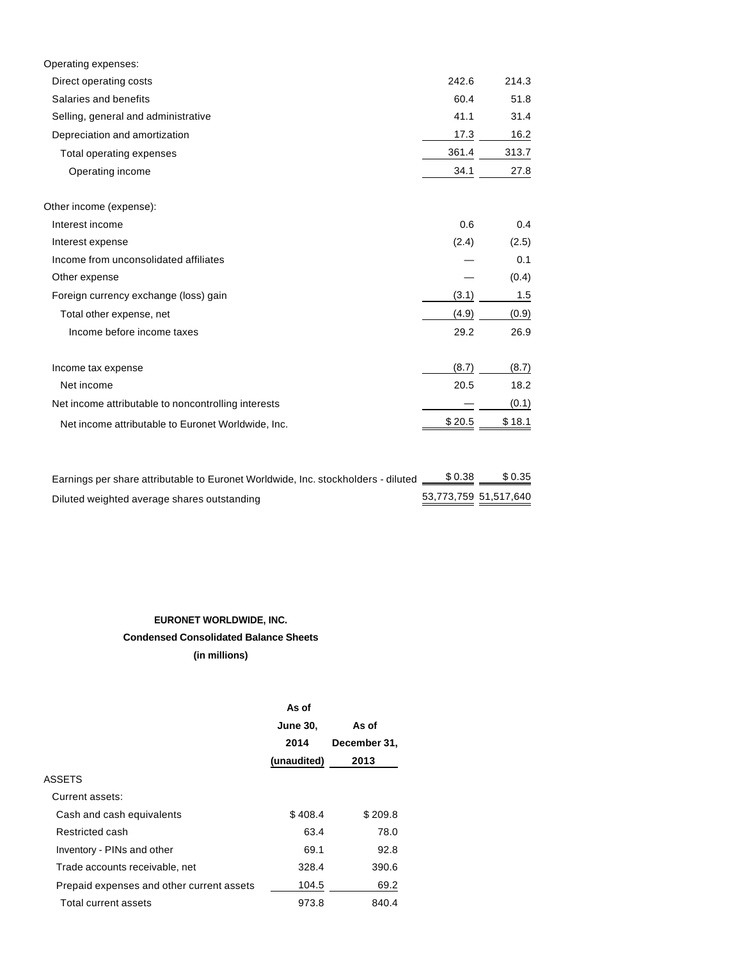| Operating expenses:                                 |        |        |
|-----------------------------------------------------|--------|--------|
| Direct operating costs                              | 242.6  | 214.3  |
| Salaries and benefits                               | 60.4   | 51.8   |
| Selling, general and administrative                 | 41.1   | 31.4   |
| Depreciation and amortization                       | 17.3   | 16.2   |
| Total operating expenses                            | 361.4  | 313.7  |
| Operating income                                    | 34.1   | 27.8   |
| Other income (expense):                             |        |        |
| Interest income                                     | 0.6    | 0.4    |
| Interest expense                                    | (2.4)  | (2.5)  |
| Income from unconsolidated affiliates               |        | 0.1    |
| Other expense                                       |        | (0.4)  |
| Foreign currency exchange (loss) gain               | (3.1)  | 1.5    |
| Total other expense, net                            | (4.9)  | (0.9)  |
| Income before income taxes                          | 29.2   | 26.9   |
| Income tax expense                                  | (8.7)  | (8.7)  |
| Net income                                          | 20.5   | 18.2   |
| Net income attributable to noncontrolling interests |        | (0.1)  |
| Net income attributable to Euronet Worldwide, Inc.  | \$20.5 | \$18.1 |
|                                                     |        |        |

| Earnings per share attributable to Euronet Worldwide, Inc. stockholders - diluted | \$0.38                | \$ 0.35 |
|-----------------------------------------------------------------------------------|-----------------------|---------|
| Diluted weighted average shares outstanding                                       | 53,773,759 51,517,640 |         |

# **EURONET WORLDWIDE, INC. Condensed Consolidated Balance Sheets**

**(in millions)**

|                                           | As of           |              |
|-------------------------------------------|-----------------|--------------|
|                                           | <b>June 30.</b> | As of        |
|                                           | 2014            | December 31, |
|                                           | (unaudited)     | 2013         |
| <b>ASSETS</b>                             |                 |              |
| Current assets:                           |                 |              |
| Cash and cash equivalents                 | \$408.4         | \$209.8      |
| Restricted cash                           | 63.4            | 78.0         |
| Inventory - PINs and other                | 69.1            | 92.8         |
| Trade accounts receivable, net            | 328.4           | 390.6        |
| Prepaid expenses and other current assets | 104.5           | 69.2         |
| Total current assets                      | 973.8           | 840.4        |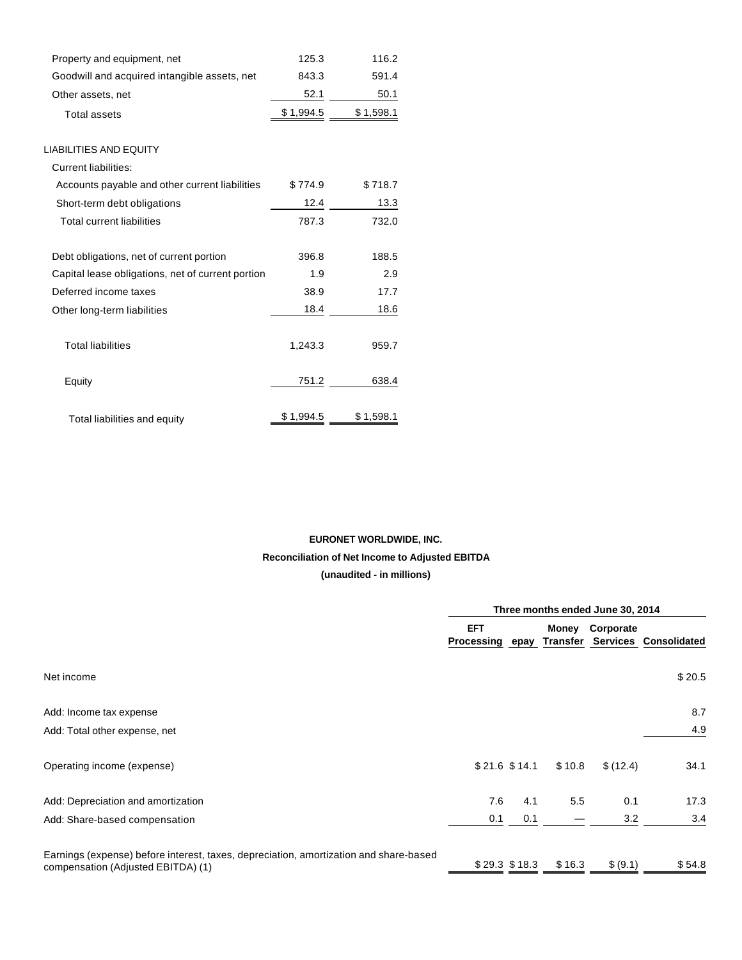| Property and equipment, net                       | 125.3     | 116.2     |
|---------------------------------------------------|-----------|-----------|
| Goodwill and acquired intangible assets, net      | 843.3     | 591.4     |
| Other assets, net                                 | 52.1      | 50.1      |
| <b>Total assets</b>                               | \$1,994.5 | \$1,598.1 |
| <b>LIABILITIES AND EQUITY</b>                     |           |           |
| <b>Current liabilities:</b>                       |           |           |
| Accounts payable and other current liabilities    | \$774.9   | \$718.7   |
| Short-term debt obligations                       | 12.4      | 13.3      |
| <b>Total current liabilities</b>                  | 787.3     | 732.0     |
| Debt obligations, net of current portion          | 396.8     | 188.5     |
| Capital lease obligations, net of current portion | 1.9       | 2.9       |
| Deferred income taxes                             | 38.9      | 17.7      |
| Other long-term liabilities                       | 18.4      | 18.6      |
| <b>Total liabilities</b>                          | 1,243.3   | 959.7     |
| Equity                                            | 751.2     | 638.4     |
| Total liabilities and equity                      | \$1,994.5 | \$1,598.1 |

# **EURONET WORLDWIDE, INC. Reconciliation of Net Income to Adjusted EBITDA (unaudited - in millions)**

|                                                                                                                             | Three months ended June 30, 2014 |     |          |                 |                       |
|-----------------------------------------------------------------------------------------------------------------------------|----------------------------------|-----|----------|-----------------|-----------------------|
|                                                                                                                             | <b>EFT</b><br>Processing epay    |     | Transfer | Money Corporate | Services Consolidated |
| Net income                                                                                                                  |                                  |     |          |                 | \$20.5                |
| Add: Income tax expense                                                                                                     |                                  |     |          |                 | 8.7                   |
| Add: Total other expense, net                                                                                               |                                  |     |          |                 | 4.9                   |
| Operating income (expense)                                                                                                  | $$21.6$ $$14.1$                  |     | \$10.8   | \$(12.4)        | 34.1                  |
| Add: Depreciation and amortization                                                                                          | 7.6                              | 4.1 | 5.5      | 0.1             | 17.3                  |
| Add: Share-based compensation                                                                                               | 0.1                              | 0.1 |          | 3.2             | 3.4                   |
| Earnings (expense) before interest, taxes, depreciation, amortization and share-based<br>compensation (Adjusted EBITDA) (1) | $$29.3$ \$18.3                   |     | \$16.3   | \$ (9.1)        | \$54.8                |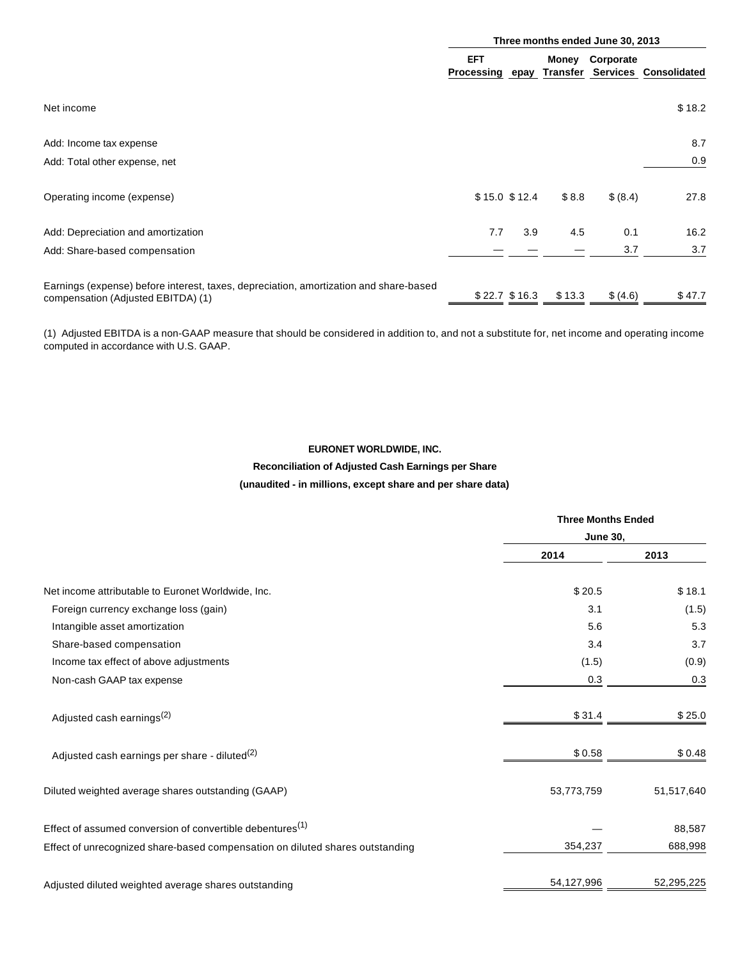|                                                                                                                             | Three months ended June 30, 2013 |                 |                   |           |                       |
|-----------------------------------------------------------------------------------------------------------------------------|----------------------------------|-----------------|-------------------|-----------|-----------------------|
|                                                                                                                             | <b>EFT</b><br>Processing epay    |                 | Money<br>Transfer | Corporate | Services Consolidated |
| Net income                                                                                                                  |                                  |                 |                   |           | \$18.2                |
| Add: Income tax expense                                                                                                     |                                  |                 |                   |           | 8.7                   |
| Add: Total other expense, net                                                                                               |                                  |                 |                   |           | 0.9                   |
| Operating income (expense)                                                                                                  |                                  | $$15.0$ $$12.4$ | \$8.8             | \$ (8.4)  | 27.8                  |
| Add: Depreciation and amortization                                                                                          | 7.7                              | 3.9             | 4.5               | 0.1       | 16.2                  |
| Add: Share-based compensation                                                                                               |                                  |                 |                   | 3.7       | 3.7                   |
| Earnings (expense) before interest, taxes, depreciation, amortization and share-based<br>compensation (Adjusted EBITDA) (1) |                                  | $$22.7$ $$16.3$ | \$13.3            | \$ (4.6)  | \$47.7                |

(1) Adjusted EBITDA is a non-GAAP measure that should be considered in addition to, and not a substitute for, net income and operating income computed in accordance with U.S. GAAP.

# **EURONET WORLDWIDE, INC.**

#### **Reconciliation of Adjusted Cash Earnings per Share**

#### **(unaudited - in millions, except share and per share data)**

|                                                                               | <b>Three Months Ended</b><br><b>June 30,</b> |            |  |
|-------------------------------------------------------------------------------|----------------------------------------------|------------|--|
|                                                                               |                                              |            |  |
|                                                                               | 2014                                         | 2013       |  |
| Net income attributable to Euronet Worldwide, Inc.                            | \$20.5                                       | \$18.1     |  |
| Foreign currency exchange loss (gain)                                         | 3.1                                          | (1.5)      |  |
| Intangible asset amortization                                                 | 5.6                                          | 5.3        |  |
| Share-based compensation                                                      | 3.4                                          | 3.7        |  |
| Income tax effect of above adjustments                                        | (1.5)                                        | (0.9)      |  |
| Non-cash GAAP tax expense                                                     | 0.3                                          | 0.3        |  |
| Adjusted cash earnings <sup>(2)</sup>                                         | \$31.4                                       | \$25.0     |  |
| Adjusted cash earnings per share - diluted <sup>(2)</sup>                     | \$0.58                                       | \$0.48     |  |
| Diluted weighted average shares outstanding (GAAP)                            | 53,773,759                                   | 51,517,640 |  |
| Effect of assumed conversion of convertible debentures <sup>(1)</sup>         |                                              | 88,587     |  |
| Effect of unrecognized share-based compensation on diluted shares outstanding | 354,237                                      | 688,998    |  |
| Adjusted diluted weighted average shares outstanding                          | 54,127,996                                   | 52,295,225 |  |